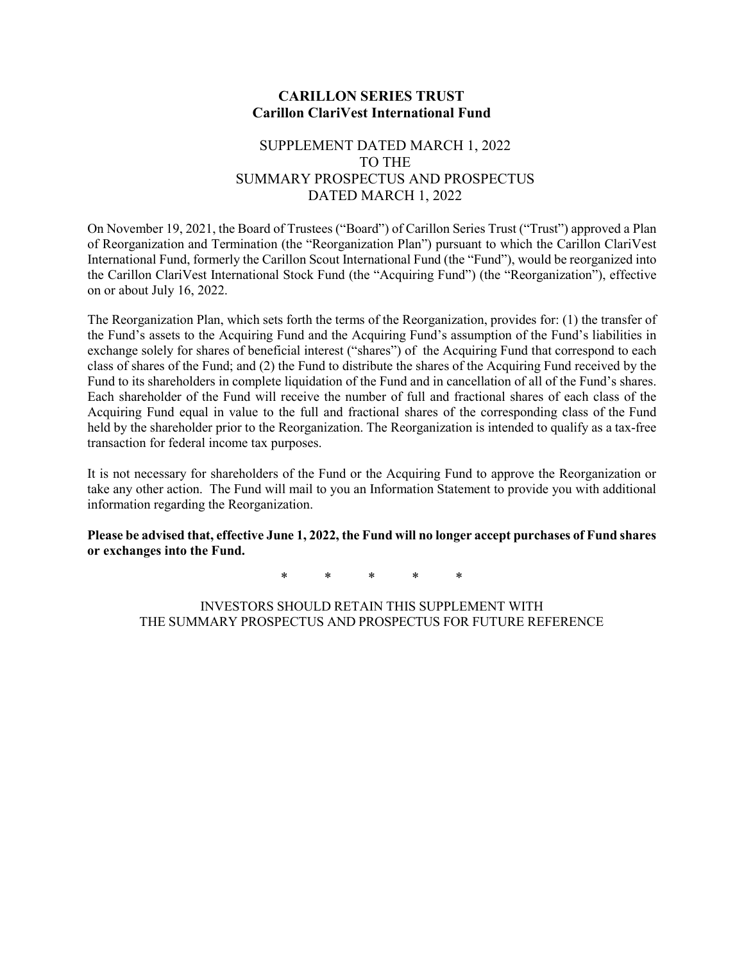#### **CARILLON SERIES TRUST Carillon ClariVest International Fund**

### SUPPLEMENT DATED MARCH 1, 2022 TO THE SUMMARY PROSPECTUS AND PROSPECTUS DATED MARCH 1, 2022

On November 19, 2021, the Board of Trustees ("Board") of Carillon Series Trust ("Trust") approved a Plan of Reorganization and Termination (the "Reorganization Plan") pursuant to which the Carillon ClariVest International Fund, formerly the Carillon Scout International Fund (the "Fund"), would be reorganized into the Carillon ClariVest International Stock Fund (the "Acquiring Fund") (the "Reorganization"), effective on or about July 16, 2022.

The Reorganization Plan, which sets forth the terms of the Reorganization, provides for: (1) the transfer of the Fund's assets to the Acquiring Fund and the Acquiring Fund's assumption of the Fund's liabilities in exchange solely for shares of beneficial interest ("shares") of the Acquiring Fund that correspond to each class of shares of the Fund; and (2) the Fund to distribute the shares of the Acquiring Fund received by the Fund to its shareholders in complete liquidation of the Fund and in cancellation of all of the Fund's shares. Each shareholder of the Fund will receive the number of full and fractional shares of each class of the Acquiring Fund equal in value to the full and fractional shares of the corresponding class of the Fund held by the shareholder prior to the Reorganization. The Reorganization is intended to qualify as a tax-free transaction for federal income tax purposes.

It is not necessary for shareholders of the Fund or the Acquiring Fund to approve the Reorganization or take any other action. The Fund will mail to you an Information Statement to provide you with additional information regarding the Reorganization.

**Please be advised that, effective June 1, 2022, the Fund will no longer accept purchases of Fund shares or exchanges into the Fund.**

\* \* \* \* \*

INVESTORS SHOULD RETAIN THIS SUPPLEMENT WITH THE SUMMARY PROSPECTUS AND PROSPECTUS FOR FUTURE REFERENCE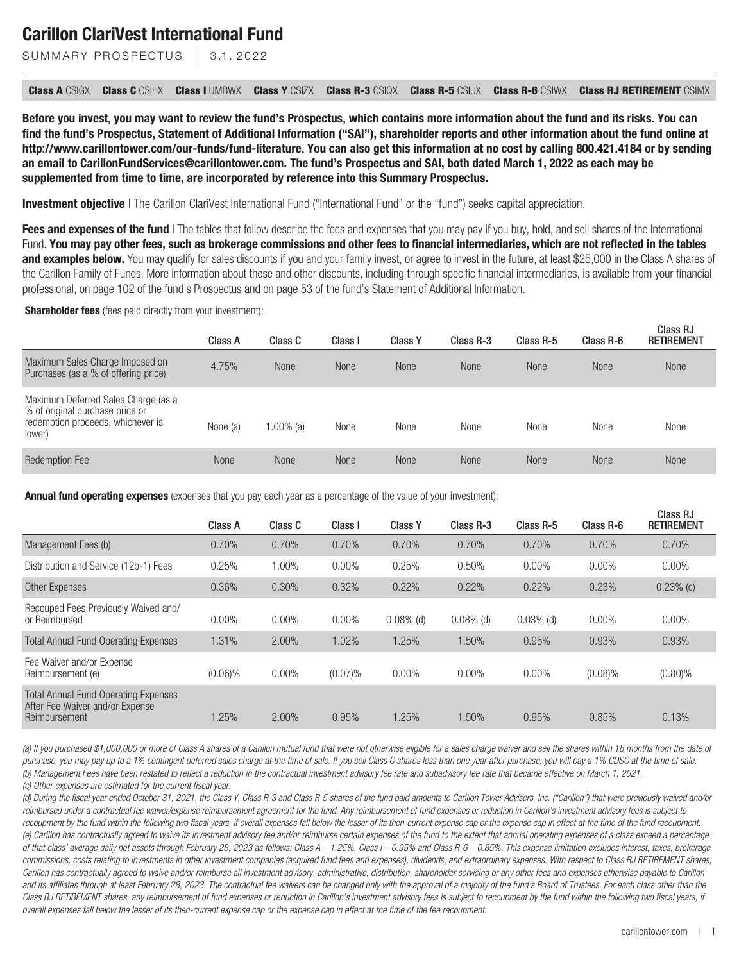SUMMARY PROSPECTUS | 3.1.2022

**Class A** CSIGX **Class C** CSIHX **Class I** UMBWX **Class Y** CSIZX **Class R-3** CSIQX **Class R-5** CSIUX **Class R-6** CSIWX **Class RJ RETIREMENT** CSIMX

**Before you invest, you may want to review the fund's Prospectus, which contains more information about the fund and its risks. You can find the fund's Prospectus, Statement of Additional Information ("SAI"), shareholder reports and other information about the fund online at http://www.carillontower.com/our-funds/fund-literature. You can also get this information at no cost by calling 800.421.4184 or by sending an email to CarillonFundServices@carillontower.com. The fund's [Prospectus and SAI](https://www.sec.gov/ix?doc=/Archives/edgar/data/897111/000119312522054481/d278869d485bpos.htm), both dated March 1, 2022 as each may be supplemented from time to time, are incorporated by reference into this Summary Prospectus.**

**Investment objective** | The Carillon ClariVest International Fund ("International Fund" or the "fund") seeks capital appreciation.

Fees and expenses of the fund | The tables that follow describe the fees and expenses that you may pay if you buy, hold, and sell shares of the International Fund. **You may pay other fees, such as brokerage commissions and other fees to financial intermediaries, which are not reflected in the tables and examples below.** You may qualify for sales discounts if you and your family invest, or agree to invest in the future, at least \$25,000 in the Class A shares of the Carillon Family of Funds. More information about these and other discounts, including through specific financial intermediaries, is available from your financial professional, on page 102 of the fund's Prospectus and on page 53 of the fund's Statement of Additional Information.

**Shareholder fees** (fees paid directly from your investment):

|                                                                                                                       | Class A     | Class C     | Class I     | <b>Class Y</b> | Class R-3   | Class R-5   | Class R-6   | Class RJ<br><b>RETIREMENT</b> |
|-----------------------------------------------------------------------------------------------------------------------|-------------|-------------|-------------|----------------|-------------|-------------|-------------|-------------------------------|
| Maximum Sales Charge Imposed on<br>Purchases (as a % of offering price)                                               | 4.75%       | <b>None</b> | <b>None</b> | <b>None</b>    | <b>None</b> | <b>None</b> | <b>None</b> | <b>None</b>                   |
| Maximum Deferred Sales Charge (as a<br>% of original purchase price or<br>redemption proceeds, whichever is<br>lower) | None (a)    | $.00\%$ (a) | None        | None           | None        | None        | None        | None                          |
| <b>Redemption Fee</b>                                                                                                 | <b>None</b> | <b>None</b> | <b>None</b> | <b>None</b>    | <b>None</b> | <b>None</b> | <b>None</b> | <b>None</b>                   |

**Annual fund operating expenses** (expenses that you pay each year as a percentage of the value of your investment):

| Class A    | Class C  | Class I    | <b>Class Y</b> | Class R-3    | Class R-5   | Class R-6  | Class RJ<br><b>RETIREMENT</b> |
|------------|----------|------------|----------------|--------------|-------------|------------|-------------------------------|
| 0.70%      | 0.70%    | 0.70%      | 0.70%          | 0.70%        | 0.70%       | 0.70%      | 0.70%                         |
| 0.25%      | 1.00%    | $0.00\%$   | 0.25%          | 0.50%        | $0.00\%$    | $0.00\%$   | $0.00\%$                      |
| 0.36%      | 0.30%    | 0.32%      | 0.22%          | 0.22%        | 0.22%       | 0.23%      | $0.23%$ (c)                   |
| $0.00\%$   | $0.00\%$ | $0.00\%$   | $0.08\%$ (d)   | $0.08\%$ (d) | $0.03%$ (d) | $0.00\%$   | $0.00\%$                      |
| 1.31%      | 2.00%    | 1.02%      | 1.25%          | 1.50%        | 0.95%       | 0.93%      | 0.93%                         |
| $(0.06)\%$ | $0.00\%$ | $(0.07)\%$ | $0.00\%$       | $0.00\%$     | $0.00\%$    | $(0.08)\%$ | $(0.80)\%$                    |
| .25%       | 2.00%    | 0.95%      | 1.25%          | 1.50%        | 0.95%       | 0.85%      | 0.13%                         |
|            |          |            |                |              |             |            |                               |

*(a) If you purchased \$1,000,000 or more of Class A shares of a Carillon mutual fund that were not otherwise eligible for a sales charge waiver and sell the shares within 18 months from the date of purchase, you may pay up to a 1% contingent deferred sales charge at the time of sale. If you sell Class C shares less than one year after purchase, you will pay a 1% CDSC at the time of sale. (b) Management Fees have been restated to reflect a reduction in the contractual investment advisory fee rate and subadvisory fee rate that became effective on March 1, 2021. (c) Other expenses are estimated for the current fiscal year.*

*(d) During the fiscal year ended October 31, 2021, the Class Y, Class R-3 and Class R-5 shares of the fund paid amounts to Carillon Tower Advisers, Inc. ("Carillon") that were previously waived and/or reimbursed under a contractual fee waiver/expense reimbursement agreement for the fund. Any reimbursement of fund expenses or reduction in Carillon's investment advisory fees is subject to recoupment by the fund within the following two fiscal years, if overall expenses fall below the lesser of its then-current expense cap or the expense cap in effect at the time of the fund recoupment. (e) Carillon has contractually agreed to waive its investment advisory fee and/or reimburse certain expenses of the fund to the extent that annual operating expenses of a class exceed a percentage of that class' average daily net assets through February 28, 2023 as follows: Class A – 1.25%, Class I – 0.95% and Class R-6 – 0.85%. This expense limitation excludes interest, taxes, brokerage commissions, costs relating to investments in other investment companies (acquired fund fees and expenses), dividends, and extraordinary expenses. With respect to Class RJ RETIREMENT shares, Carillon has contractually agreed to waive and/or reimburse all investment advisory, administrative, distribution, shareholder servicing or any other fees and expenses otherwise payable to Carillon* and its affiliates through at least February 28, 2023. The contractual fee waivers can be changed only with the approval of a majority of the fund's Board of Trustees. For each class other than the *Class RJ RETIREMENT shares, any reimbursement of fund expenses or reduction in Carillon's investment advisory fees is subject to recoupment by the fund within the following two fiscal years, if overall expenses fall below the lesser of its then-current expense cap or the expense cap in effect at the time of the fee recoupment.*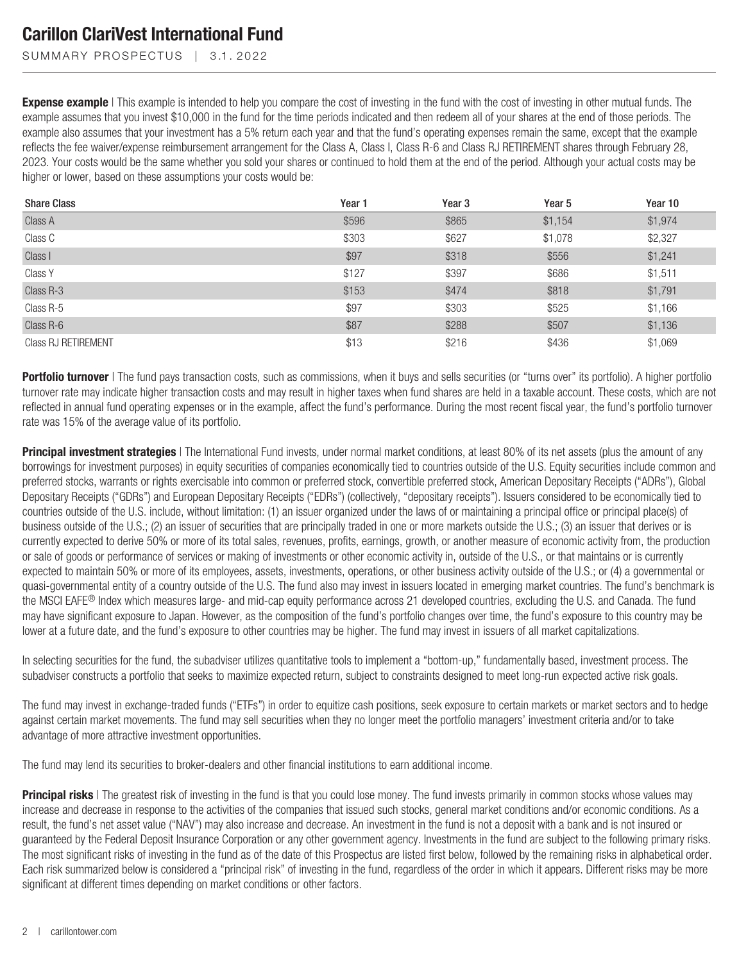SUMMARY PROSPECTUS | 3.1.2022

**Expense example** | This example is intended to help you compare the cost of investing in the fund with the cost of investing in other mutual funds. The example assumes that you invest \$10,000 in the fund for the time periods indicated and then redeem all of your shares at the end of those periods. The example also assumes that your investment has a 5% return each year and that the fund's operating expenses remain the same, except that the example reflects the fee waiver/expense reimbursement arrangement for the Class A, Class I, Class R-6 and Class RJ RETIREMENT shares through February 28, 2023. Your costs would be the same whether you sold your shares or continued to hold them at the end of the period. Although your actual costs may be higher or lower, based on these assumptions your costs would be:

| <b>Share Class</b>         | Year 1 | Year <sub>3</sub> | Year <sub>5</sub> | Year 10 |
|----------------------------|--------|-------------------|-------------------|---------|
| Class A                    | \$596  | \$865             | \$1,154           | \$1,974 |
| Class C                    | \$303  | \$627             | \$1,078           | \$2,327 |
| Class I                    | \$97   | \$318             | \$556             | \$1,241 |
| Class Y                    | \$127  | \$397             | \$686             | \$1,511 |
| Class R-3                  | \$153  | \$474             | \$818             | \$1,791 |
| Class R-5                  | \$97   | \$303             | \$525             | \$1,166 |
| Class R-6                  | \$87   | \$288             | \$507             | \$1,136 |
| <b>Class RJ RETIREMENT</b> | \$13   | \$216             | \$436             | \$1,069 |

**Portfolio turnover** | The fund pays transaction costs, such as commissions, when it buys and sells securities (or "turns over" its portfolio). A higher portfolio turnover rate may indicate higher transaction costs and may result in higher taxes when fund shares are held in a taxable account. These costs, which are not reflected in annual fund operating expenses or in the example, affect the fund's performance. During the most recent fiscal year, the fund's portfolio turnover rate was 15% of the average value of its portfolio.

**Principal investment strategies** | The International Fund invests, under normal market conditions, at least 80% of its net assets (plus the amount of any borrowings for investment purposes) in equity securities of companies economically tied to countries outside of the U.S. Equity securities include common and preferred stocks, warrants or rights exercisable into common or preferred stock, convertible preferred stock, American Depositary Receipts ("ADRs"), Global Depositary Receipts ("GDRs") and European Depositary Receipts ("EDRs") (collectively, "depositary receipts"). Issuers considered to be economically tied to countries outside of the U.S. include, without limitation: (1) an issuer organized under the laws of or maintaining a principal office or principal place(s) of business outside of the U.S.; (2) an issuer of securities that are principally traded in one or more markets outside the U.S.; (3) an issuer that derives or is currently expected to derive 50% or more of its total sales, revenues, profits, earnings, growth, or another measure of economic activity from, the production or sale of goods or performance of services or making of investments or other economic activity in, outside of the U.S., or that maintains or is currently expected to maintain 50% or more of its employees, assets, investments, operations, or other business activity outside of the U.S.; or (4) a governmental or quasi-governmental entity of a country outside of the U.S. The fund also may invest in issuers located in emerging market countries. The fund's benchmark is the MSCI EAFE<sup>®</sup> Index which measures large- and mid-cap equity performance across 21 developed countries, excluding the U.S. and Canada. The fund may have significant exposure to Japan. However, as the composition of the fund's portfolio changes over time, the fund's exposure to this country may be lower at a future date, and the fund's exposure to other countries may be higher. The fund may invest in issuers of all market capitalizations.

In selecting securities for the fund, the subadviser utilizes quantitative tools to implement a "bottom-up," fundamentally based, investment process. The subadviser constructs a portfolio that seeks to maximize expected return, subject to constraints designed to meet long-run expected active risk goals.

The fund may invest in exchange-traded funds ("ETFs") in order to equitize cash positions, seek exposure to certain markets or market sectors and to hedge against certain market movements. The fund may sell securities when they no longer meet the portfolio managers' investment criteria and/or to take advantage of more attractive investment opportunities.

The fund may lend its securities to broker-dealers and other financial institutions to earn additional income.

**Principal risks** | The greatest risk of investing in the fund is that you could lose money. The fund invests primarily in common stocks whose values may increase and decrease in response to the activities of the companies that issued such stocks, general market conditions and/or economic conditions. As a result, the fund's net asset value ("NAV") may also increase and decrease. An investment in the fund is not a deposit with a bank and is not insured or guaranteed by the Federal Deposit Insurance Corporation or any other government agency. Investments in the fund are subject to the following primary risks. The most significant risks of investing in the fund as of the date of this Prospectus are listed first below, followed by the remaining risks in alphabetical order. Each risk summarized below is considered a "principal risk" of investing in the fund, regardless of the order in which it appears. Different risks may be more significant at different times depending on market conditions or other factors.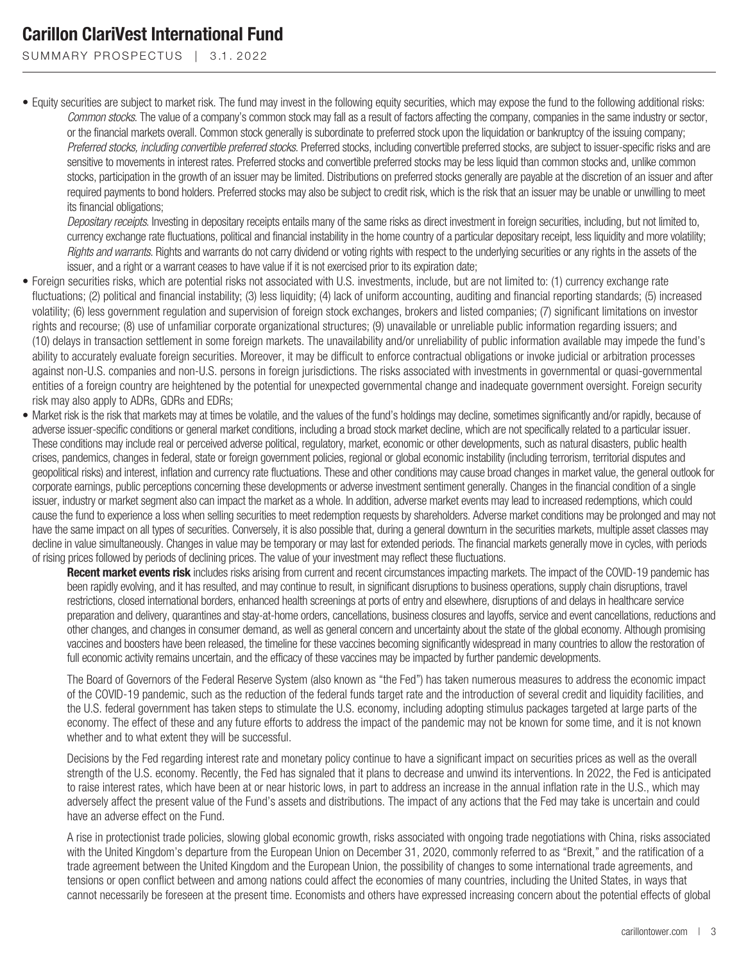SUMMARY PROSPECTUS | 3.1.2022

• Equity securities are subject to market risk. The fund may invest in the following equity securities, which may expose the fund to the following additional risks: *Common stocks*. The value of a company's common stock may fall as a result of factors affecting the company, companies in the same industry or sector, or the financial markets overall. Common stock generally is subordinate to preferred stock upon the liquidation or bankruptcy of the issuing company; *Preferred stocks, including convertible preferred stocks*. Preferred stocks, including convertible preferred stocks, are subject to issuer-specific risks and are sensitive to movements in interest rates. Preferred stocks and convertible preferred stocks may be less liquid than common stocks and, unlike common stocks, participation in the growth of an issuer may be limited. Distributions on preferred stocks generally are payable at the discretion of an issuer and after required payments to bond holders. Preferred stocks may also be subject to credit risk, which is the risk that an issuer may be unable or unwilling to meet its financial obligations;

*Depositary receipts*. Investing in depositary receipts entails many of the same risks as direct investment in foreign securities, including, but not limited to, currency exchange rate fluctuations, political and financial instability in the home country of a particular depositary receipt, less liquidity and more volatility; *Rights and warrants*. Rights and warrants do not carry dividend or voting rights with respect to the underlying securities or any rights in the assets of the issuer, and a right or a warrant ceases to have value if it is not exercised prior to its expiration date;

- Foreign securities risks, which are potential risks not associated with U.S. investments, include, but are not limited to: (1) currency exchange rate fluctuations; (2) political and financial instability; (3) less liquidity; (4) lack of uniform accounting, auditing and financial reporting standards; (5) increased volatility; (6) less government regulation and supervision of foreign stock exchanges, brokers and listed companies; (7) significant limitations on investor rights and recourse; (8) use of unfamiliar corporate organizational structures; (9) unavailable or unreliable public information regarding issuers; and (10) delays in transaction settlement in some foreign markets. The unavailability and/or unreliability of public information available may impede the fund's ability to accurately evaluate foreign securities. Moreover, it may be difficult to enforce contractual obligations or invoke judicial or arbitration processes against non-U.S. companies and non-U.S. persons in foreign jurisdictions. The risks associated with investments in governmental or quasi-governmental entities of a foreign country are heightened by the potential for unexpected governmental change and inadequate government oversight. Foreign security risk may also apply to ADRs, GDRs and EDRs;
- Market risk is the risk that markets may at times be volatile, and the values of the fund's holdings may decline, sometimes significantly and/or rapidly, because of adverse issuer-specific conditions or general market conditions, including a broad stock market decline, which are not specifically related to a particular issuer. These conditions may include real or perceived adverse political, regulatory, market, economic or other developments, such as natural disasters, public health crises, pandemics, changes in federal, state or foreign government policies, regional or global economic instability (including terrorism, territorial disputes and geopolitical risks) and interest, inflation and currency rate fluctuations. These and other conditions may cause broad changes in market value, the general outlook for corporate earnings, public perceptions concerning these developments or adverse investment sentiment generally. Changes in the financial condition of a single issuer, industry or market segment also can impact the market as a whole. In addition, adverse market events may lead to increased redemptions, which could cause the fund to experience a loss when selling securities to meet redemption requests by shareholders. Adverse market conditions may be prolonged and may not have the same impact on all types of securities. Conversely, it is also possible that, during a general downturn in the securities markets, multiple asset classes may decline in value simultaneously. Changes in value may be temporary or may last for extended periods. The financial markets generally move in cycles, with periods of rising prices followed by periods of declining prices. The value of your investment may reflect these fluctuations.

**Recent market events risk** includes risks arising from current and recent circumstances impacting markets. The impact of the COVID-19 pandemic has been rapidly evolving, and it has resulted, and may continue to result, in significant disruptions to business operations, supply chain disruptions, travel restrictions, closed international borders, enhanced health screenings at ports of entry and elsewhere, disruptions of and delays in healthcare service preparation and delivery, quarantines and stay-at-home orders, cancellations, business closures and layoffs, service and event cancellations, reductions and other changes, and changes in consumer demand, as well as general concern and uncertainty about the state of the global economy. Although promising vaccines and boosters have been released, the timeline for these vaccines becoming significantly widespread in many countries to allow the restoration of full economic activity remains uncertain, and the efficacy of these vaccines may be impacted by further pandemic developments.

The Board of Governors of the Federal Reserve System (also known as "the Fed") has taken numerous measures to address the economic impact of the COVID-19 pandemic, such as the reduction of the federal funds target rate and the introduction of several credit and liquidity facilities, and the U.S. federal government has taken steps to stimulate the U.S. economy, including adopting stimulus packages targeted at large parts of the economy. The effect of these and any future efforts to address the impact of the pandemic may not be known for some time, and it is not known whether and to what extent they will be successful.

Decisions by the Fed regarding interest rate and monetary policy continue to have a significant impact on securities prices as well as the overall strength of the U.S. economy. Recently, the Fed has signaled that it plans to decrease and unwind its interventions. In 2022, the Fed is anticipated to raise interest rates, which have been at or near historic lows, in part to address an increase in the annual inflation rate in the U.S., which may adversely affect the present value of the Fund's assets and distributions. The impact of any actions that the Fed may take is uncertain and could have an adverse effect on the Fund.

A rise in protectionist trade policies, slowing global economic growth, risks associated with ongoing trade negotiations with China, risks associated with the United Kingdom's departure from the European Union on December 31, 2020, commonly referred to as "Brexit," and the ratification of a trade agreement between the United Kingdom and the European Union, the possibility of changes to some international trade agreements, and tensions or open conflict between and among nations could affect the economies of many countries, including the United States, in ways that cannot necessarily be foreseen at the present time. Economists and others have expressed increasing concern about the potential effects of global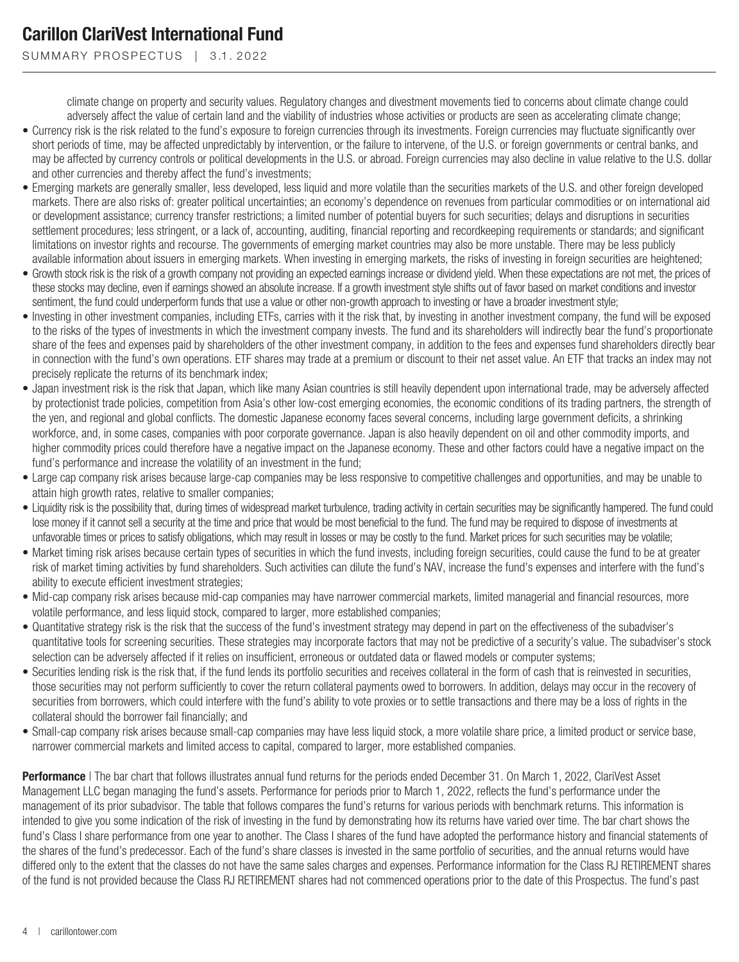SUMMARY PROSPECTUS | 3.1.2022

climate change on property and security values. Regulatory changes and divestment movements tied to concerns about climate change could adversely affect the value of certain land and the viability of industries whose activities or products are seen as accelerating climate change;

- Currency risk is the risk related to the fund's exposure to foreign currencies through its investments. Foreign currencies may fluctuate significantly over short periods of time, may be affected unpredictably by intervention, or the failure to intervene, of the U.S. or foreign governments or central banks, and may be affected by currency controls or political developments in the U.S. or abroad. Foreign currencies may also decline in value relative to the U.S. dollar and other currencies and thereby affect the fund's investments;
- Emerging markets are generally smaller, less developed, less liquid and more volatile than the securities markets of the U.S. and other foreign developed markets. There are also risks of: greater political uncertainties; an economy's dependence on revenues from particular commodities or on international aid or development assistance; currency transfer restrictions; a limited number of potential buyers for such securities; delays and disruptions in securities settlement procedures; less stringent, or a lack of, accounting, auditing, financial reporting and recordkeeping requirements or standards; and significant limitations on investor rights and recourse. The governments of emerging market countries may also be more unstable. There may be less publicly available information about issuers in emerging markets. When investing in emerging markets, the risks of investing in foreign securities are heightened;
- Growth stock risk is the risk of a growth company not providing an expected earnings increase or dividend yield. When these expectations are not met, the prices of these stocks may decline, even if earnings showed an absolute increase. If a growth investment style shifts out of favor based on market conditions and investor sentiment, the fund could underperform funds that use a value or other non-growth approach to investing or have a broader investment style;
- Investing in other investment companies, including ETFs, carries with it the risk that, by investing in another investment company, the fund will be exposed to the risks of the types of investments in which the investment company invests. The fund and its shareholders will indirectly bear the fund's proportionate share of the fees and expenses paid by shareholders of the other investment company, in addition to the fees and expenses fund shareholders directly bear in connection with the fund's own operations. ETF shares may trade at a premium or discount to their net asset value. An ETF that tracks an index may not precisely replicate the returns of its benchmark index;
- Japan investment risk is the risk that Japan, which like many Asian countries is still heavily dependent upon international trade, may be adversely affected by protectionist trade policies, competition from Asia's other low-cost emerging economies, the economic conditions of its trading partners, the strength of the yen, and regional and global conflicts. The domestic Japanese economy faces several concerns, including large government deficits, a shrinking workforce, and, in some cases, companies with poor corporate governance. Japan is also heavily dependent on oil and other commodity imports, and higher commodity prices could therefore have a negative impact on the Japanese economy. These and other factors could have a negative impact on the fund's performance and increase the volatility of an investment in the fund;
- Large cap company risk arises because large-cap companies may be less responsive to competitive challenges and opportunities, and may be unable to attain high growth rates, relative to smaller companies;
- Liquidity risk is the possibility that, during times of widespread market turbulence, trading activity in certain securities may be significantly hampered. The fund could lose money if it cannot sell a security at the time and price that would be most beneficial to the fund. The fund may be required to dispose of investments at unfavorable times or prices to satisfy obligations, which may result in losses or may be costly to the fund. Market prices for such securities may be volatile;
- Market timing risk arises because certain types of securities in which the fund invests, including foreign securities, could cause the fund to be at greater risk of market timing activities by fund shareholders. Such activities can dilute the fund's NAV, increase the fund's expenses and interfere with the fund's ability to execute efficient investment strategies;
- Mid-cap company risk arises because mid-cap companies may have narrower commercial markets, limited managerial and financial resources, more volatile performance, and less liquid stock, compared to larger, more established companies;
- Quantitative strategy risk is the risk that the success of the fund's investment strategy may depend in part on the effectiveness of the subadviser's quantitative tools for screening securities. These strategies may incorporate factors that may not be predictive of a security's value. The subadviser's stock selection can be adversely affected if it relies on insufficient, erroneous or outdated data or flawed models or computer systems;
- Securities lending risk is the risk that, if the fund lends its portfolio securities and receives collateral in the form of cash that is reinvested in securities, those securities may not perform sufficiently to cover the return collateral payments owed to borrowers. In addition, delays may occur in the recovery of securities from borrowers, which could interfere with the fund's ability to vote proxies or to settle transactions and there may be a loss of rights in the collateral should the borrower fail financially; and
- Small-cap company risk arises because small-cap companies may have less liquid stock, a more volatile share price, a limited product or service base, narrower commercial markets and limited access to capital, compared to larger, more established companies.

**Performance** | The bar chart that follows illustrates annual fund returns for the periods ended December 31. On March 1, 2022, ClariVest Asset Management LLC began managing the fund's assets. Performance for periods prior to March 1, 2022, reflects the fund's performance under the management of its prior subadvisor. The table that follows compares the fund's returns for various periods with benchmark returns. This information is intended to give you some indication of the risk of investing in the fund by demonstrating how its returns have varied over time. The bar chart shows the fund's Class I share performance from one year to another. The Class I shares of the fund have adopted the performance history and financial statements of the shares of the fund's predecessor. Each of the fund's share classes is invested in the same portfolio of securities, and the annual returns would have differed only to the extent that the classes do not have the same sales charges and expenses. Performance information for the Class RJ RETIREMENT shares of the fund is not provided because the Class RJ RETIREMENT shares had not commenced operations prior to the date of this Prospectus. The fund's past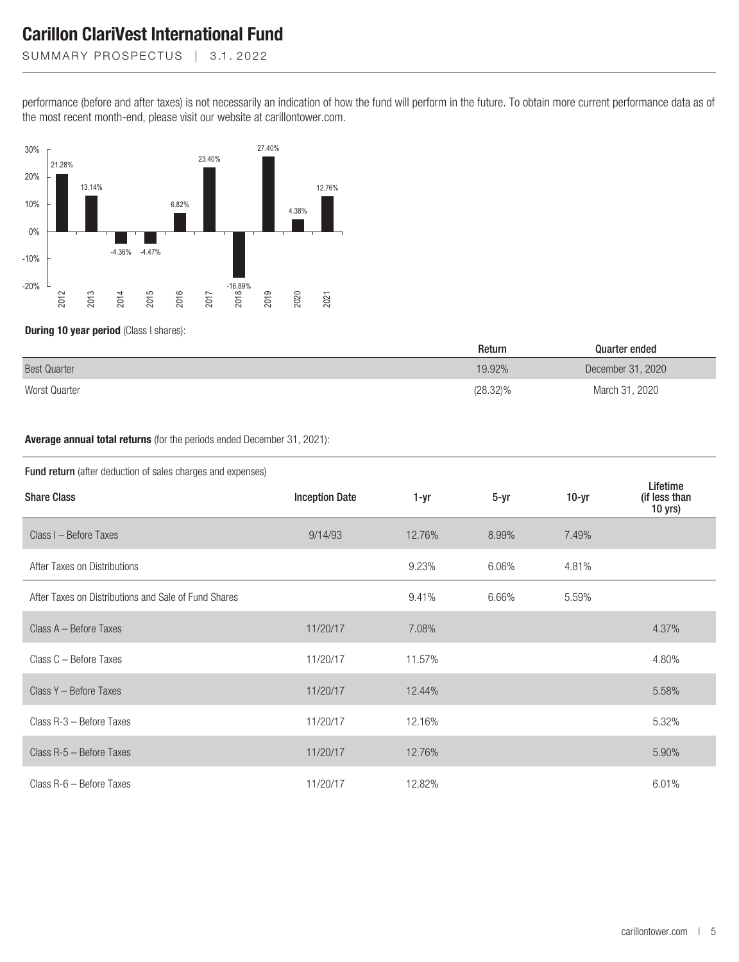SUMMARY PROSPECTUS | 3.1.2022

performance (before and after taxes) is not necessarily an indication of how the fund will perform in the future. To obtain more current performance data as of the most recent month-end, please visit our website at carillontower.com.



**During 10 year period** (Class I shares):

|                     | Return   | Quarter ended     |
|---------------------|----------|-------------------|
| <b>Best Quarter</b> | 19.92%   | December 31, 2020 |
| Worst Quarter       | (28.32)% | March 31, 2020    |

#### **Average annual total returns** (for the periods ended December 31, 2021):

#### Fund return (after deduction of sales charges and expenses)

| <b>Share Class</b>                                   | <b>Inception Date</b> | 1-yr   | $5-yr$ | $10-yr$ | Lifetime<br>(if less than<br>10 yrs) |
|------------------------------------------------------|-----------------------|--------|--------|---------|--------------------------------------|
| Class I - Before Taxes                               | 9/14/93               | 12.76% | 8.99%  | 7.49%   |                                      |
| After Taxes on Distributions                         |                       | 9.23%  | 6.06%  | 4.81%   |                                      |
| After Taxes on Distributions and Sale of Fund Shares |                       | 9.41%  | 6.66%  | 5.59%   |                                      |
| Class A - Before Taxes                               | 11/20/17              | 7.08%  |        |         | 4.37%                                |
| Class C - Before Taxes                               | 11/20/17              | 11.57% |        |         | 4.80%                                |
| Class Y - Before Taxes                               | 11/20/17              | 12.44% |        |         | 5.58%                                |
| Class R-3 - Before Taxes                             | 11/20/17              | 12.16% |        |         | 5.32%                                |
| Class R-5 - Before Taxes                             | 11/20/17              | 12.76% |        |         | 5.90%                                |
| Class R-6 - Before Taxes                             | 11/20/17              | 12.82% |        |         | 6.01%                                |